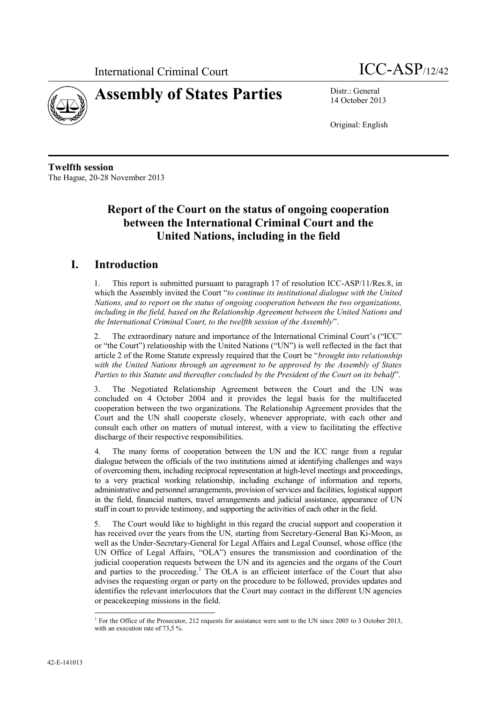



14 October 2013

Original: English

**Twelfth session** The Hague, 20-28 November 2013

# **Report of the Court on the status of ongoing cooperation between the International Criminal Court and the United Nations, including in the field**

# **I. Introduction**

1. This report is submitted pursuant to paragraph 17 of resolution ICC-ASP/11/Res.8, in which the Assembly invited the Court "*to continue its institutional dialogue with the United Nations, and to report on the status of ongoing cooperation between the two organizations,*  including in the field, based on the Relationship Agreement between the United Nations and *the International Criminal Court, to the twelfth session of the Assembly*".

2. The extraordinary nature and importance of the International Criminal Court's ("ICC" or "the Court") relationship with the United Nations ("UN") is well reflected in the fact that article 2 of the Rome Statute expressly required that the Court be "*brought into relationship with the United Nations through an agreement to be approved by the Assembly of States Parties to this Statute and thereafter concluded by the President of the Court on its behalf*".

3. The Negotiated Relationship Agreement between the Court and the UN was concluded on 4 October 2004 and it provides the legal basis for the multifaceted cooperation between the two organizations. The Relationship Agreement provides that the Court and the UN shall cooperate closely, whenever appropriate, with each other and consult each other on matters of mutual interest, with a view to facilitating the effective discharge of their respective responsibilities.

4. The many forms of cooperation between the UN and the ICC range from a regular dialogue between the officials of the two institutions aimed at identifying challenges and ways of overcoming them, including reciprocal representation at high-level meetings and proceedings, to a very practical working relationship, including exchange of information and reports, administrative and personnel arrangements, provision of services and facilities, logistical support in the field, financial matters, travel arrangements and judicial assistance, appearance of UN staff in court to provide testimony, and supporting the activities of each other in the field.

5. The Court would like to highlight in this regard the crucial support and cooperation it has received over the years from the UN, starting from Secretary-General Ban Ki-Moon, as well as the Under-Secretary-General for Legal Affairs and Legal Counsel, whose office (the UN Office of Legal Affairs, "OLA") ensures the transmission and coordination of the judicial cooperation requests between the UN and its agencies and the organs of the Court and parties to the proceeding.<sup>1</sup> The OLA is an efficient interface of the Court that also advises the requesting organ or party on the procedure to be followed, provides updates and identifies the relevant interlocutors that the Court may contact in the different UN agencies or peacekeeping missions in the field.

 1 For the Office of the Prosecutor, 212 requests for assistance were sent to the UN since 2005 to 3 October 2013, with an execution rate of 73,5 %.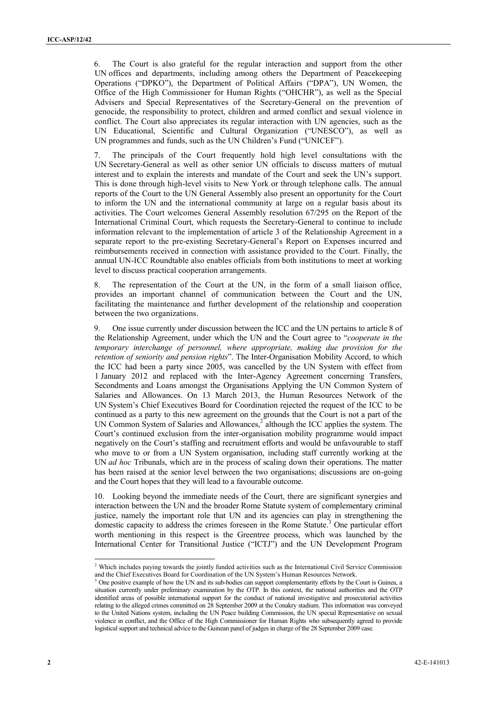6. The Court is also grateful for the regular interaction and support from the other UN offices and departments, including among others the Department of Peacekeeping Operations ("DPKO"), the Department of Political Affairs ("DPA"), UN Women, the Office of the High Commissioner for Human Rights ("OHCHR"), as well as the Special Advisers and Special Representatives of the Secretary-General on the prevention of genocide, the responsibility to protect, children and armed conflict and sexual violence in conflict. The Court also appreciates its regular interaction with UN agencies, such as the UN Educational, Scientific and Cultural Organization ("UNESCO"), as well as UN programmes and funds, such as the UN Children's Fund ("UNICEF").

7. The principals of the Court frequently hold high level consultations with the UN Secretary-General as well as other senior UN officials to discuss matters of mutual interest and to explain the interests and mandate of the Court and seek the UN's support. This is done through high-level visits to New York or through telephone calls. The annual reports of the Court to the UN General Assembly also present an opportunity for the Court to inform the UN and the international community at large on a regular basis about its activities. The Court welcomes General Assembly resolution 67/295 on the Report of the International Criminal Court, which requests the Secretary-General to continue to include information relevant to the implementation of article 3 of the Relationship Agreement in a separate report to the pre-existing Secretary-General's Report on Expenses incurred and reimbursements received in connection with assistance provided to the Court. Finally, the annual UN-ICC Roundtable also enables officials from both institutions to meet at working level to discuss practical cooperation arrangements.

8. The representation of the Court at the UN, in the form of a small liaison office, provides an important channel of communication between the Court and the UN, facilitating the maintenance and further development of the relationship and cooperation between the two organizations.

9. One issue currently under discussion between the ICC and the UN pertains to article 8 of the Relationship Agreement, under which the UN and the Court agree to "*cooperate in the temporary interchange of personnel, where appropriate, making due provision for the retention of seniority and pension rights*". The Inter-Organisation Mobility Accord, to which the ICC had been a party since 2005, was cancelled by the UN System with effect from 1 January 2012 and replaced with the Inter-Agency Agreement concerning Transfers, Secondments and Loans amongst the Organisations Applying the UN Common System of Salaries and Allowances. On 13 March 2013, the Human Resources Network of the UN System's Chief Executives Board for Coordination rejected the request of the ICC to be continued as a party to this new agreement on the grounds that the Court is not a part of the UN Common System of Salaries and Allowances,<sup>2</sup> although the ICC applies the system. The Court's continued exclusion from the inter-organisation mobility programme would impact negatively on the Court's staffing and recruitment efforts and would be unfavourable to staff who move to or from a UN System organisation, including staff currently working at the UN *ad hoc* Tribunals, which are in the process of scaling down their operations. The matter has been raised at the senior level between the two organisations; discussions are on-going and the Court hopes that they will lead to a favourable outcome.

10. Looking beyond the immediate needs of the Court, there are significant synergies and interaction between the UN and the broader Rome Statute system of complementary criminal justice, namely the important role that UN and its agencies can play in strengthening the domestic capacity to address the crimes foreseen in the Rome Statute. <sup>3</sup> One particular effort worth mentioning in this respect is the Greentree process, which was launched by the International Center for Transitional Justice ("ICTJ") and the UN Development Program

<sup>&</sup>lt;sup>2</sup> Which includes paying towards the jointly funded activities such as the International Civil Service Commission and the Chief Executives Board for Coordination of the UN System's Human Resources Network.

<sup>&</sup>lt;sup>3</sup> One positive example of how the UN and its sub-bodies can support complementarity efforts by the Court is Guinea, a situation currently under preliminary examination by the OTP. In this context, the national authorities and the OTP identified areas of possible international support for the conduct of national investigative and prosecutorial activities relating to the alleged crimes committed on 28 September 2009 at the Conakry stadium. This information was conveyed to the United Nations system, including the UN Peace building Commission, the UN special Representative on sexual violence in conflict, and the Office of the High Commissioner for Human Rights who subsequently agreed to provide logistical support and technical advice to the Guinean panel of judges in charge of the 28 September 2009 case.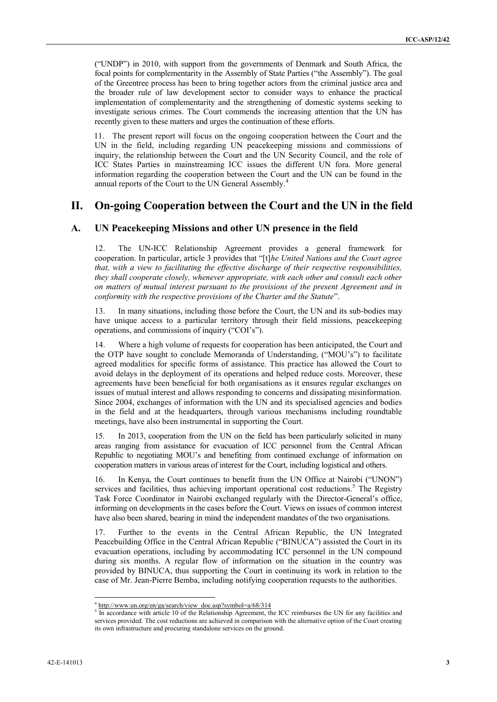("UNDP") in 2010, with support from the governments of Denmark and South Africa, the focal points for complementarity in the Assembly of State Parties ("the Assembly"). The goal of the Greentree process has been to bring together actors from the criminal justice area and the broader rule of law development sector to consider ways to enhance the practical implementation of complementarity and the strengthening of domestic systems seeking to investigate serious crimes. The Court commends the increasing attention that the UN has recently given to these matters and urges the continuation of these efforts.

11. The present report will focus on the ongoing cooperation between the Court and the UN in the field, including regarding UN peacekeeping missions and commissions of inquiry, the relationship between the Court and the UN Security Council, and the role of ICC States Parties in mainstreaming ICC issues the different UN fora. More general information regarding the cooperation between the Court and the UN can be found in the annual reports of the Court to the UN General Assembly.<sup>4</sup>

# **II. On-going Cooperation between the Court and the UN in the field**

#### **A. UN Peacekeeping Missions and other UN presence in the field**

12. The UN-ICC Relationship Agreement provides a general framework for cooperation. In particular, article 3 provides that "[t]*he United Nations and the Court agree that, with a view to facilitating the effective discharge of their respective responsibilities, they shall cooperate closely, whenever appropriate, with each other and consult each other on matters of mutual interest pursuant to the provisions of the present Agreement and in conformity with the respective provisions of the Charter and the Statute*".

In many situations, including those before the Court, the UN and its sub-bodies may have unique access to a particular territory through their field missions, peacekeeping operations, and commissions of inquiry ("COI's").

14. Where a high volume of requests for cooperation has been anticipated, the Court and the OTP have sought to conclude Memoranda of Understanding, ("MOU's") to facilitate agreed modalities for specific forms of assistance. This practice has allowed the Court to avoid delays in the deployment of its operations and helped reduce costs. Moreover, these agreements have been beneficial for both organisations as it ensures regular exchanges on issues of mutual interest and allows responding to concerns and dissipating misinformation. Since 2004, exchanges of information with the UN and its specialised agencies and bodies in the field and at the headquarters, through various mechanisms including roundtable meetings, have also been instrumental in supporting the Court.

15. In 2013, cooperation from the UN on the field has been particularly solicited in many areas ranging from assistance for evacuation of ICC personnel from the Central African Republic to negotiating MOU's and benefiting from continued exchange of information on cooperation matters in various areas of interest for the Court, including logistical and others.

16. In Kenya, the Court continues to benefit from the UN Office at Nairobi ("UNON") services and facilities, thus achieving important operational cost reductions.<sup>5</sup> The Registry Task Force Coordinator in Nairobi exchanged regularly with the Director-General's office, informing on developments in the cases before the Court. Views on issues of common interest have also been shared, bearing in mind the independent mandates of the two organisations.

17. Further to the events in the Central African Republic, the UN Integrated Peacebuilding Office in the Central African Republic ("BINUCA") assisted the Court in its evacuation operations, including by accommodating ICC personnel in the UN compound during six months. A regular flow of information on the situation in the country was provided by BINUCA, thus supporting the Court in continuing its work in relation to the case of Mr. Jean-Pierre Bemba, including notifying cooperation requests to the authorities.

<sup>&</sup>lt;sup>4</sup> [http://www.un.org/en/ga/search/view\\_doc.asp?symbol=a/68/314](http://www.un.org/en/ga/search/view_doc.asp?symbol=a/68/314)

<sup>&</sup>lt;sup>5</sup> In accordance with article 10 of the Relationship Agreement, the ICC reimburses the UN for any facilities and services provided. The cost reductions are achieved in comparison with the alternative option of the Court creating its own infrastructure and procuring standalone services on the ground.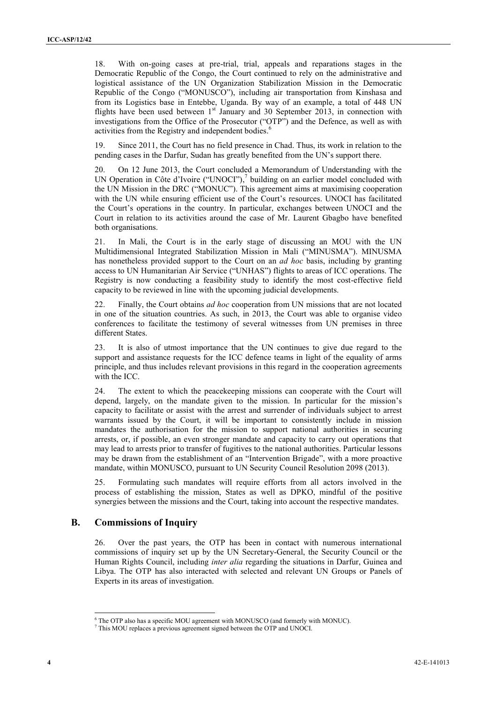18. With on-going cases at pre-trial, trial, appeals and reparations stages in the Democratic Republic of the Congo, the Court continued to rely on the administrative and logistical assistance of the UN Organization Stabilization Mission in the Democratic Republic of the Congo ("MONUSCO"), including air transportation from Kinshasa and from its Logistics base in Entebbe, Uganda. By way of an example, a total of 448 UN flights have been used between  $1<sup>st</sup>$  January and 30 September 2013, in connection with investigations from the Office of the Prosecutor ("OTP") and the Defence, as well as with activities from the Registry and independent bodies.<sup>6</sup>

19. Since 2011, the Court has no field presence in Chad. Thus, its work in relation to the pending cases in the Darfur, Sudan has greatly benefited from the UN's support there.

20. On 12 June 2013, the Court concluded a Memorandum of Understanding with the UN Operation in Côte d'Ivoire ("UNOCI"),<sup>7</sup> building on an earlier model concluded with the UN Mission in the DRC ("MONUC"). This agreement aims at maximising cooperation with the UN while ensuring efficient use of the Court's resources. UNOCI has facilitated the Court's operations in the country. In particular, exchanges between UNOCI and the Court in relation to its activities around the case of Mr. Laurent Gbagbo have benefited both organisations.

21. In Mali, the Court is in the early stage of discussing an MOU with the UN Multidimensional Integrated Stabilization Mission in Mali ("MINUSMA"). MINUSMA has nonetheless provided support to the Court on an *ad hoc* basis, including by granting access to UN Humanitarian Air Service ("UNHAS") flights to areas of ICC operations. The Registry is now conducting a feasibility study to identify the most cost-effective field capacity to be reviewed in line with the upcoming judicial developments.

22. Finally, the Court obtains *ad hoc* cooperation from UN missions that are not located in one of the situation countries. As such, in 2013, the Court was able to organise video conferences to facilitate the testimony of several witnesses from UN premises in three different States.

23. It is also of utmost importance that the UN continues to give due regard to the support and assistance requests for the ICC defence teams in light of the equality of arms principle, and thus includes relevant provisions in this regard in the cooperation agreements with the ICC.

24. The extent to which the peacekeeping missions can cooperate with the Court will depend, largely, on the mandate given to the mission. In particular for the mission's capacity to facilitate or assist with the arrest and surrender of individuals subject to arrest warrants issued by the Court, it will be important to consistently include in mission mandates the authorisation for the mission to support national authorities in securing arrests, or, if possible, an even stronger mandate and capacity to carry out operations that may lead to arrests prior to transfer of fugitives to the national authorities. Particular lessons may be drawn from the establishment of an "Intervention Brigade", with a more proactive mandate, within MONUSCO, pursuant to UN Security Council Resolution 2098 (2013).

25. Formulating such mandates will require efforts from all actors involved in the process of establishing the mission, States as well as DPKO, mindful of the positive synergies between the missions and the Court, taking into account the respective mandates.

#### **B. Commissions of Inquiry**

26. Over the past years, the OTP has been in contact with numerous international commissions of inquiry set up by the UN Secretary-General, the Security Council or the Human Rights Council, including *inter alia* regarding the situations in Darfur, Guinea and Libya. The OTP has also interacted with selected and relevant UN Groups or Panels of Experts in its areas of investigation.

<sup>6</sup> The OTP also has a specific MOU agreement with MONUSCO (and formerly with MONUC).

<sup>7</sup> This MOU replaces a previous agreement signed between the OTP and UNOCI.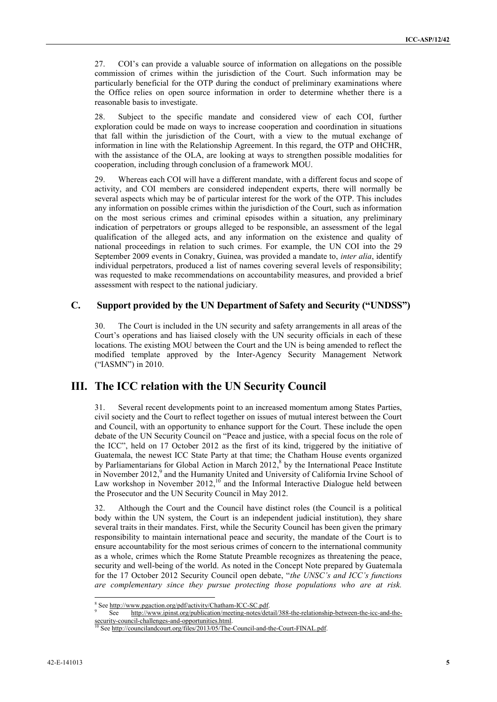27. COI's can provide a valuable source of information on allegations on the possible commission of crimes within the jurisdiction of the Court. Such information may be particularly beneficial for the OTP during the conduct of preliminary examinations where the Office relies on open source information in order to determine whether there is a reasonable basis to investigate.

28. Subject to the specific mandate and considered view of each COI, further exploration could be made on ways to increase cooperation and coordination in situations that fall within the jurisdiction of the Court, with a view to the mutual exchange of information in line with the Relationship Agreement. In this regard, the OTP and OHCHR, with the assistance of the OLA, are looking at ways to strengthen possible modalities for cooperation, including through conclusion of a framework MOU.

29. Whereas each COI will have a different mandate, with a different focus and scope of activity, and COI members are considered independent experts, there will normally be several aspects which may be of particular interest for the work of the OTP. This includes any information on possible crimes within the jurisdiction of the Court, such as information on the most serious crimes and criminal episodes within a situation, any preliminary indication of perpetrators or groups alleged to be responsible, an assessment of the legal qualification of the alleged acts, and any information on the existence and quality of national proceedings in relation to such crimes. For example, the UN COI into the 29 September 2009 events in Conakry, Guinea, was provided a mandate to, *inter alia*, identify individual perpetrators, produced a list of names covering several levels of responsibility; was requested to make recommendations on accountability measures, and provided a brief assessment with respect to the national judiciary.

### **C. Support provided by the UN Department of Safety and Security ("UNDSS")**

30. The Court is included in the UN security and safety arrangements in all areas of the Court's operations and has liaised closely with the UN security officials in each of these locations. The existing MOU between the Court and the UN is being amended to reflect the modified template approved by the Inter-Agency Security Management Network ("IASMN") in 2010.

## **III. The ICC relation with the UN Security Council**

31. Several recent developments point to an increased momentum among States Parties, civil society and the Court to reflect together on issues of mutual interest between the Court and Council, with an opportunity to enhance support for the Court. These include the open debate of the UN Security Council on "Peace and justice, with a special focus on the role of the ICC", held on 17 October 2012 as the first of its kind, triggered by the initiative of Guatemala, the newest ICC State Party at that time; the Chatham House events organized by Parliamentarians for Global Action in March 2012,<sup>8</sup> by the International Peace Institute in November 2012,<sup>9</sup> and the Humanity United and University of California Irvine School of Law workshop in November  $2012$ ,<sup>10</sup> and the Informal Interactive Dialogue held between the Prosecutor and the UN Security Council in May 2012.

32. Although the Court and the Council have distinct roles (the Council is a political body within the UN system, the Court is an independent judicial institution), they share several traits in their mandates. First, while the Security Council has been given the primary responsibility to maintain international peace and security, the mandate of the Court is to ensure accountability for the most serious crimes of concern to the international community as a whole, crimes which the Rome Statute Preamble recognizes as threatening the peace, security and well-being of the world. As noted in the Concept Note prepared by Guatemala for the 17 October 2012 Security Council open debate, "*the UNSC's and ICC's functions are complementary since they pursue protecting those populations who are at risk.* 

<sup>&</sup>lt;sup>8</sup> Se[e http://www.pgaction.org/pdf/activity/Chatham-ICC-SC.pdf.](http://www.pgaction.org/pdf/activity/Chatham-ICC-SC.pdf)<br>  $\frac{1}{2}$ 

See [http://www.ipinst.org/publication/meeting-notes/detail/388-the-relationship-between-the-icc-and-the](http://www.ipinst.org/publication/meeting-notes/detail/388-the-relationship-between-the-icc-and-the-security-council-challenges-and-opportunities.html)security-council-challenges-and-opportunities.html

See [http://councilandcourt.org/files/2013/05/The-Council-and-the-Court-FINAL.pdf.](http://councilandcourt.org/files/2013/05/The-Council-and-the-Court-FINAL.pdf)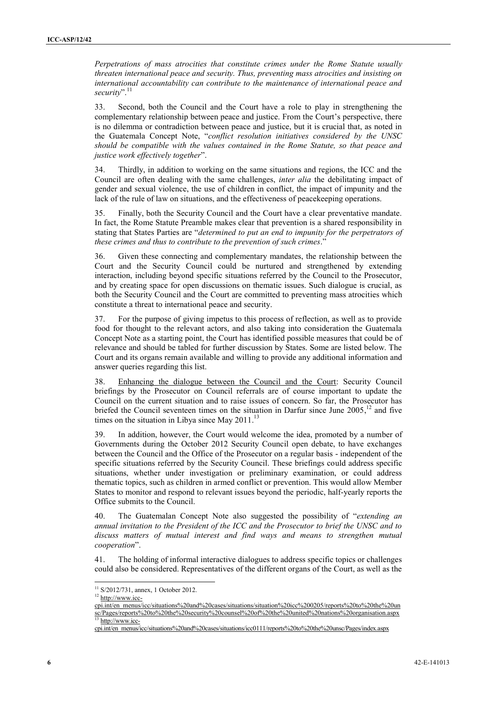*Perpetrations of mass atrocities that constitute crimes under the Rome Statute usually threaten international peace and security. Thus, preventing mass atrocities and insisting on international accountability can contribute to the maintenance of international peace and security*". 11

33. Second, both the Council and the Court have a role to play in strengthening the complementary relationship between peace and justice. From the Court's perspective, there is no dilemma or contradiction between peace and justice, but it is crucial that, as noted in the Guatemala Concept Note, "*conflict resolution initiatives considered by the UNSC should be compatible with the values contained in the Rome Statute, so that peace and justice work effectively together*".

34. Thirdly, in addition to working on the same situations and regions, the ICC and the Council are often dealing with the same challenges, *inter alia* the debilitating impact of gender and sexual violence, the use of children in conflict, the impact of impunity and the lack of the rule of law on situations, and the effectiveness of peacekeeping operations.

35. Finally, both the Security Council and the Court have a clear preventative mandate. In fact, the Rome Statute Preamble makes clear that prevention is a shared responsibility in stating that States Parties are "*determined to put an end to impunity for the perpetrators of these crimes and thus to contribute to the prevention of such crimes*."

36. Given these connecting and complementary mandates, the relationship between the Court and the Security Council could be nurtured and strengthened by extending interaction, including beyond specific situations referred by the Council to the Prosecutor, and by creating space for open discussions on thematic issues. Such dialogue is crucial, as both the Security Council and the Court are committed to preventing mass atrocities which constitute a threat to international peace and security.

37. For the purpose of giving impetus to this process of reflection, as well as to provide food for thought to the relevant actors, and also taking into consideration the Guatemala Concept Note as a starting point, the Court has identified possible measures that could be of relevance and should be tabled for further discussion by States. Some are listed below. The Court and its organs remain available and willing to provide any additional information and answer queries regarding this list.

38. Enhancing the dialogue between the Council and the Court: Security Council briefings by the Prosecutor on Council referrals are of course important to update the Council on the current situation and to raise issues of concern. So far, the Prosecutor has briefed the Council seventeen times on the situation in Darfur since June  $2005$ ,<sup>12</sup> and five times on the situation in Libya since May 2011.<sup>13</sup>

39. In addition, however, the Court would welcome the idea, promoted by a number of Governments during the October 2012 Security Council open debate, to have exchanges between the Council and the Office of the Prosecutor on a regular basis - independent of the specific situations referred by the Security Council. These briefings could address specific situations, whether under investigation or preliminary examination, or could address thematic topics, such as children in armed conflict or prevention. This would allow Member States to monitor and respond to relevant issues beyond the periodic, half-yearly reports the Office submits to the Council.

40. The Guatemalan Concept Note also suggested the possibility of "*extending an annual invitation to the President of the ICC and the Prosecutor to brief the UNSC and to discuss matters of mutual interest and find ways and means to strengthen mutual cooperation*".

41. The holding of informal interactive dialogues to address specific topics or challenges could also be considered. Representatives of the different organs of the Court, as well as the

<sup>&</sup>lt;sup>11</sup> S/2012/731, annex, 1 October 2012.

<sup>&</sup>lt;sup>12</sup> [http://www.icc-](http://www.icc-cpi.int/en_menus/icc/situations%20and%20cases/situations/situation%20icc%200205/reports%20to%20the%20unsc/Pages/reports%20to%20the%20security%20counsel%20of%20the%20united%20nations%20organisation.aspx)

[cpi.int/en\\_menus/icc/situations%20and%20cases/situations/situation%20icc%200205/reports%20to%20the%20un](http://www.icc-cpi.int/en_menus/icc/situations%20and%20cases/situations/situation%20icc%200205/reports%20to%20the%20unsc/Pages/reports%20to%20the%20security%20counsel%20of%20the%20united%20nations%20organisation.aspx) [sc/Pages/reports%20to%20the%20security%20counsel%20of%20the%20united%20nations%20organisation.aspx](http://www.icc-cpi.int/en_menus/icc/situations%20and%20cases/situations/situation%20icc%200205/reports%20to%20the%20unsc/Pages/reports%20to%20the%20security%20counsel%20of%20the%20united%20nations%20organisation.aspx) <sup>13</sup> [http://www.icc-](http://www.icc-cpi.int/en_menus/icc/situations%20and%20cases/situations/icc0111/reports%20to%20the%20unsc/Pages/index.aspx)

[cpi.int/en\\_menus/icc/situations%20and%20cases/situations/icc0111/reports%20to%20the%20unsc/Pages/index.aspx](http://www.icc-cpi.int/en_menus/icc/situations%20and%20cases/situations/icc0111/reports%20to%20the%20unsc/Pages/index.aspx)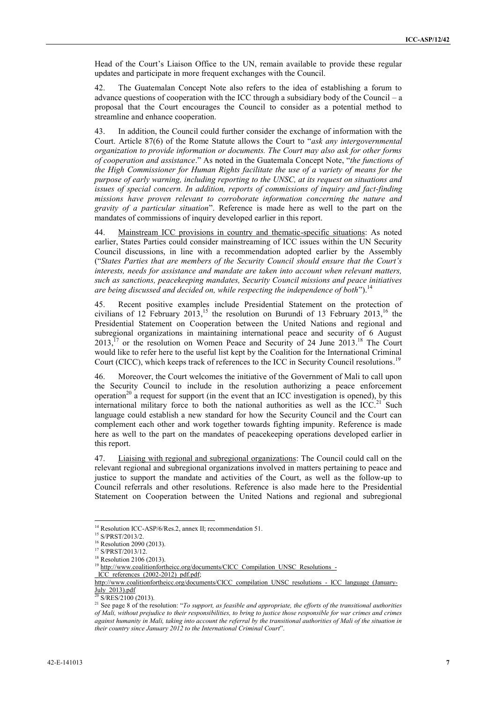Head of the Court's Liaison Office to the UN, remain available to provide these regular updates and participate in more frequent exchanges with the Council.

42. The Guatemalan Concept Note also refers to the idea of establishing a forum to advance questions of cooperation with the ICC through a subsidiary body of the Council – a proposal that the Court encourages the Council to consider as a potential method to streamline and enhance cooperation.

43. In addition, the Council could further consider the exchange of information with the Court. Article 87(6) of the Rome Statute allows the Court to "*ask any intergovernmental organization to provide information or documents. The Court may also ask for other forms of cooperation and assistance*." As noted in the Guatemala Concept Note, "*the functions of the High Commissioner for Human Rights facilitate the use of a variety of means for the purpose of early warning, including reporting to the UNSC, at its request on situations and issues of special concern. In addition, reports of commissions of inquiry and fact-finding missions have proven relevant to corroborate information concerning the nature and gravity of a particular situation*". Reference is made here as well to the part on the mandates of commissions of inquiry developed earlier in this report.

44. Mainstream ICC provisions in country and thematic-specific situations: As noted earlier, States Parties could consider mainstreaming of ICC issues within the UN Security Council discussions, in line with a recommendation adopted earlier by the Assembly ("*States Parties that are members of the Security Council should ensure that the Court's interests, needs for assistance and mandate are taken into account when relevant matters, such as sanctions, peacekeeping mandates, Security Council missions and peace initiatives are being discussed and decided on, while respecting the independence of both*"). 14

45. Recent positive examples include Presidential Statement on the protection of civilians of 12 February 2013,<sup>15</sup> the resolution on Burundi of 13 February 2013,<sup>16</sup> the Presidential Statement on Cooperation between the United Nations and regional and subregional organizations in maintaining international peace and security of 6 August  $2013$ ,<sup>17</sup> or the resolution on Women Peace and Security of 24 June 2013.<sup>18</sup> The Court would like to refer here to the useful list kept by the Coalition for the International Criminal Court (CICC), which keeps track of references to the ICC in Security Council resolutions.<sup>19</sup>

46. Moreover, the Court welcomes the initiative of the Government of Mali to call upon the Security Council to include in the resolution authorizing a peace enforcement operation<sup>20</sup> a request for support (in the event that an ICC investigation is opened), by this international military force to both the national authorities as well as the  $ICC.^{21}$  Such language could establish a new standard for how the Security Council and the Court can complement each other and work together towards fighting impunity. Reference is made here as well to the part on the mandates of peacekeeping operations developed earlier in this report.

47. Liaising with regional and subregional organizations: The Council could call on the relevant regional and subregional organizations involved in matters pertaining to peace and justice to support the mandate and activities of the Court, as well as the follow-up to Council referrals and other resolutions. Reference is also made here to the Presidential Statement on Cooperation between the United Nations and regional and subregional

<sup>&</sup>lt;sup>14</sup> Resolution ICC-ASP/6/Res.2, annex II; recommendation 51.

<sup>15</sup> S/PRST/2013/2.

<sup>&</sup>lt;sup>16</sup> Resolution 2090 (2013).

<sup>&</sup>lt;sup>17</sup> S/PRST/2013/12. <sup>18</sup> Resolution 2106 (2013).

<sup>&</sup>lt;sup>19</sup> [http://www.coalitionfortheicc.org/documents/CICC\\_Compilation\\_UNSC\\_Resolutions\\_-](http://www.coalitionfortheicc.org/documents/CICC_Compilation_UNSC_Resolutions_-_ICC_references_(2002-2012)_pdf.pdf) ICC\_references\_(2002-2012)\_pdf.pdf;

http://www.coalitionfortheicc.org/documents/CICC\_compilation\_UNSC\_resolutions - ICC\_language\_(January- $\underline{July_2013).pdf}$  $\underline{July_2013).pdf}$  $\underline{July_2013).pdf}$ 

S/RES/2100 (2013).

<sup>21</sup> See page 8 of the resolution: "*To support, as feasible and appropriate, the efforts of the transitional authorities of Mali, without prejudice to their responsibilities, to bring to justice those responsible for war crimes and crimes against humanity in Mali, taking into account the referral by the transitional authorities of Mali of the situation in their country since January 2012 to the International Criminal Court*".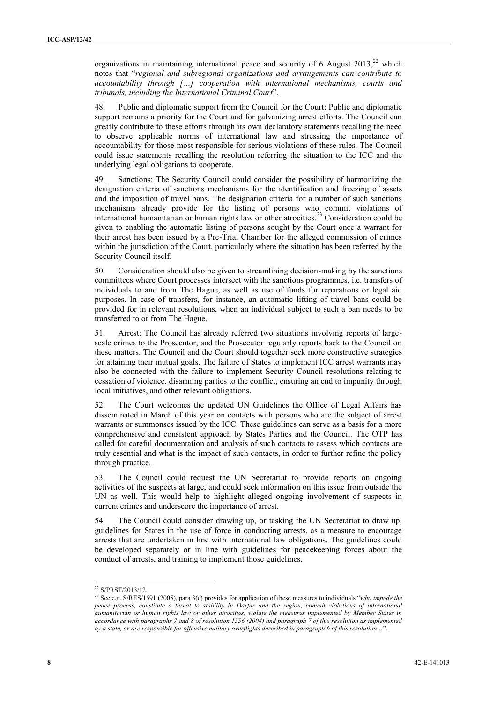organizations in maintaining international peace and security of 6 August  $2013<sup>22</sup>$  which notes that "*regional and subregional organizations and arrangements can contribute to accountability through […] cooperation with international mechanisms, courts and tribunals, including the International Criminal Court*".

48. Public and diplomatic support from the Council for the Court: Public and diplomatic support remains a priority for the Court and for galvanizing arrest efforts. The Council can greatly contribute to these efforts through its own declaratory statements recalling the need to observe applicable norms of international law and stressing the importance of accountability for those most responsible for serious violations of these rules. The Council could issue statements recalling the resolution referring the situation to the ICC and the underlying legal obligations to cooperate.

49. Sanctions: The Security Council could consider the possibility of harmonizing the designation criteria of sanctions mechanisms for the identification and freezing of assets and the imposition of travel bans. The designation criteria for a number of such sanctions mechanisms already provide for the listing of persons who commit violations of international humanitarian or human rights law or other atrocities.<sup>23</sup> Consideration could be given to enabling the automatic listing of persons sought by the Court once a warrant for their arrest has been issued by a Pre-Trial Chamber for the alleged commission of crimes within the jurisdiction of the Court, particularly where the situation has been referred by the Security Council itself.

50. Consideration should also be given to streamlining decision-making by the sanctions committees where Court processes intersect with the sanctions programmes, i.e. transfers of individuals to and from The Hague, as well as use of funds for reparations or legal aid purposes. In case of transfers, for instance, an automatic lifting of travel bans could be provided for in relevant resolutions, when an individual subject to such a ban needs to be transferred to or from The Hague.

51. Arrest: The Council has already referred two situations involving reports of largescale crimes to the Prosecutor, and the Prosecutor regularly reports back to the Council on these matters. The Council and the Court should together seek more constructive strategies for attaining their mutual goals. The failure of States to implement ICC arrest warrants may also be connected with the failure to implement Security Council resolutions relating to cessation of violence, disarming parties to the conflict, ensuring an end to impunity through local initiatives, and other relevant obligations.

52. The Court welcomes the updated UN Guidelines the Office of Legal Affairs has disseminated in March of this year on contacts with persons who are the subject of arrest warrants or summonses issued by the ICC. These guidelines can serve as a basis for a more comprehensive and consistent approach by States Parties and the Council. The OTP has called for careful documentation and analysis of such contacts to assess which contacts are truly essential and what is the impact of such contacts, in order to further refine the policy through practice.

53. The Council could request the UN Secretariat to provide reports on ongoing activities of the suspects at large, and could seek information on this issue from outside the UN as well. This would help to highlight alleged ongoing involvement of suspects in current crimes and underscore the importance of arrest.

54. The Council could consider drawing up, or tasking the UN Secretariat to draw up, guidelines for States in the use of force in conducting arrests, as a measure to encourage arrests that are undertaken in line with international law obligations. The guidelines could be developed separately or in line with guidelines for peacekeeping forces about the conduct of arrests, and training to implement those guidelines.

<sup>22</sup> S/PRST/2013/12.

<sup>23</sup> See e.g. S/RES/1591 (2005), para 3(c) provides for application of these measures to individuals "*who impede the peace process, constitute a threat to stability in Darfur and the region, commit violations of international humanitarian or human rights law or other atrocities, violate the measures implemented by Member States in accordance with paragraphs 7 and 8 of resolution 1556 (2004) and paragraph 7 of this resolution as implemented by a state, or are responsible for offensive military overflights described in paragraph 6 of this resolution…*".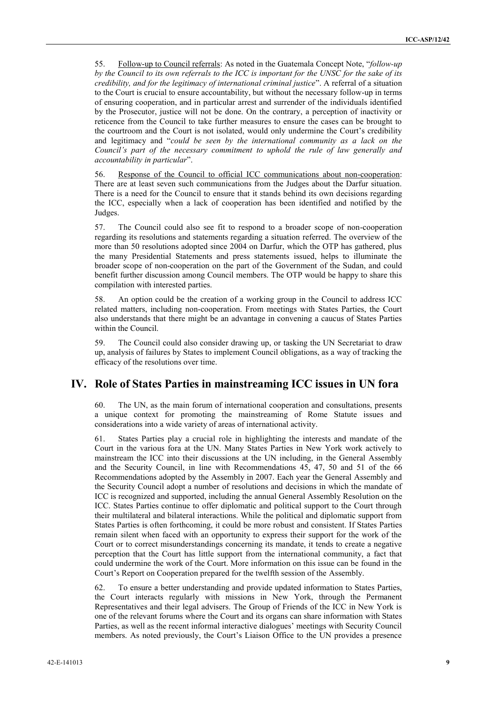55. Follow-up to Council referrals: As noted in the Guatemala Concept Note, "*follow-up by the Council to its own referrals to the ICC is important for the UNSC for the sake of its credibility, and for the legitimacy of international criminal justice*". A referral of a situation to the Court is crucial to ensure accountability, but without the necessary follow-up in terms of ensuring cooperation, and in particular arrest and surrender of the individuals identified by the Prosecutor, justice will not be done. On the contrary, a perception of inactivity or reticence from the Council to take further measures to ensure the cases can be brought to the courtroom and the Court is not isolated, would only undermine the Court's credibility and legitimacy and "*could be seen by the international community as a lack on the Council's part of the necessary commitment to uphold the rule of law generally and accountability in particular*".

56. Response of the Council to official ICC communications about non-cooperation: There are at least seven such communications from the Judges about the Darfur situation. There is a need for the Council to ensure that it stands behind its own decisions regarding the ICC, especially when a lack of cooperation has been identified and notified by the Judges.

57. The Council could also see fit to respond to a broader scope of non-cooperation regarding its resolutions and statements regarding a situation referred. The overview of the more than 50 resolutions adopted since 2004 on Darfur, which the OTP has gathered, plus the many Presidential Statements and press statements issued, helps to illuminate the broader scope of non-cooperation on the part of the Government of the Sudan, and could benefit further discussion among Council members. The OTP would be happy to share this compilation with interested parties.

58. An option could be the creation of a working group in the Council to address ICC related matters, including non-cooperation. From meetings with States Parties, the Court also understands that there might be an advantage in convening a caucus of States Parties within the Council.

59. The Council could also consider drawing up, or tasking the UN Secretariat to draw up, analysis of failures by States to implement Council obligations, as a way of tracking the efficacy of the resolutions over time.

## **IV. Role of States Parties in mainstreaming ICC issues in UN fora**

60. The UN, as the main forum of international cooperation and consultations, presents a unique context for promoting the mainstreaming of Rome Statute issues and considerations into a wide variety of areas of international activity.

61. States Parties play a crucial role in highlighting the interests and mandate of the Court in the various fora at the UN. Many States Parties in New York work actively to mainstream the ICC into their discussions at the UN including, in the General Assembly and the Security Council, in line with Recommendations 45, 47, 50 and 51 of the 66 Recommendations adopted by the Assembly in 2007. Each year the General Assembly and the Security Council adopt a number of resolutions and decisions in which the mandate of ICC is recognized and supported, including the annual General Assembly Resolution on the ICC. States Parties continue to offer diplomatic and political support to the Court through their multilateral and bilateral interactions. While the political and diplomatic support from States Parties is often forthcoming, it could be more robust and consistent. If States Parties remain silent when faced with an opportunity to express their support for the work of the Court or to correct misunderstandings concerning its mandate, it tends to create a negative perception that the Court has little support from the international community, a fact that could undermine the work of the Court. More information on this issue can be found in the Court's Report on Cooperation prepared for the twelfth session of the Assembly.

62. To ensure a better understanding and provide updated information to States Parties, the Court interacts regularly with missions in New York, through the Permanent Representatives and their legal advisers. The Group of Friends of the ICC in New York is one of the relevant forums where the Court and its organs can share information with States Parties, as well as the recent informal interactive dialogues' meetings with Security Council members. As noted previously, the Court's Liaison Office to the UN provides a presence